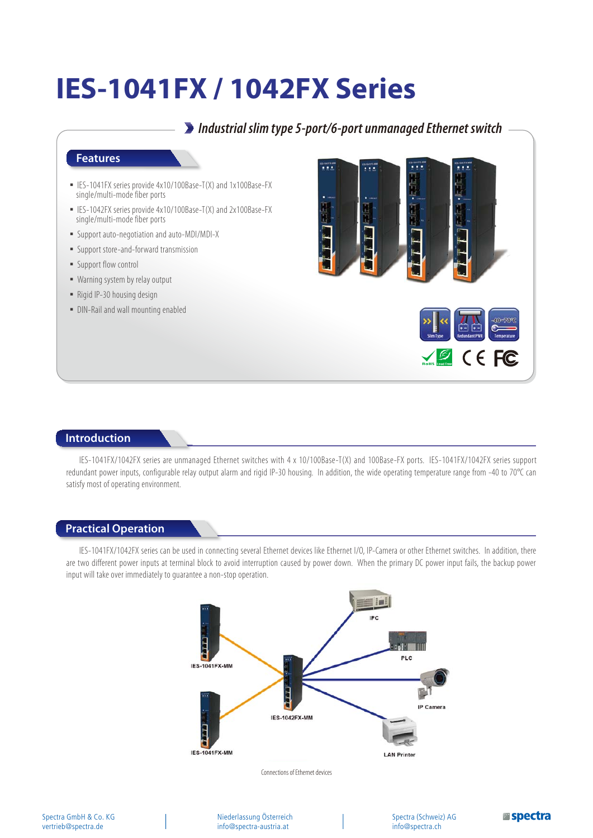## **IES-1041FX / 1042FX Series**

*Industrial slim type 5-port/6-port unmanaged Ethernet switch* ■ IES-1041FX series provide 4x10/100Base-T(X) and 1x100Base-FX single/multi-mode fiber ports ■ IES-1042FX series provide 4x10/100Base-T(X) and 2x100Base-FX single/multi-mode fiber ports ͑ؼ͑Support auto-negotiation and auto-MDI/MDI-X ͑ؼ͑Support store-and-forward transmission ■ Support flow control • Warning system by relay output ■ Rigid IP-30 housing design • DIN-Rail and wall mounting enabled  $C \in FC$ 

## **Introduction**

**Features**

IES-1041FX/1042FX series are unmanaged Ethernet switches with 4 x 10/100Base-T(X) and 100Base-FX ports. IES-1041FX/1042FX series support redundant power inputs, configurable relay output alarm and rigid IP-30 housing. In addition, the wide operating temperature range from -40 to 70°C can satisfy most of operating environment.

## **Practical Operation**

IES-1041FX/1042FX series can be used in connecting several Ethernet devices like Ethernet I/O, IP-Camera or other Ethernet switches. In addition, there are two different power inputs at terminal block to avoid interruption caused by power down. When the primary DC power input fails, the backup power input will take over immediately to guarantee a non-stop operation.



Connections of Ethernet devices

Niederlassung Österreich info@spectra-austria.at

Spectra (Schweiz) AG info@spectra.ch

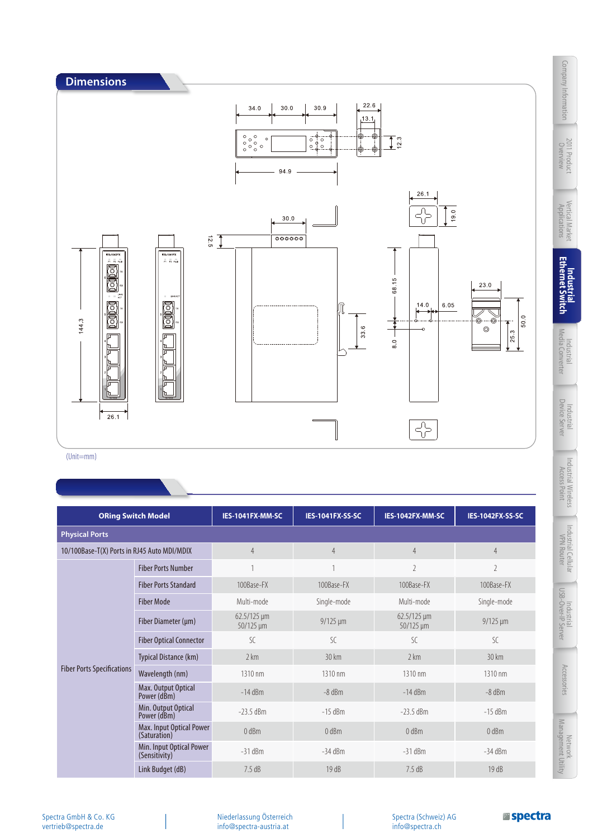

011 Product

Network<br>Management Utility

**Espectra** 

Accessones

Industrial Cellular<br>VPN Router

Industrial<br>USB-Over-IP Server

(Unit=mm)

| <b>ORing Switch Model</b>                   |                                           | IES-1041FX-MM-SC                | <b>IES-1041FX-SS-SC</b> | IES-1042FX-MM-SC                | IES-1042FX-SS-SC |  |  |
|---------------------------------------------|-------------------------------------------|---------------------------------|-------------------------|---------------------------------|------------------|--|--|
| <b>Physical Ports</b>                       |                                           |                                 |                         |                                 |                  |  |  |
| 10/100Base-T(X) Ports in RJ45 Auto MDI/MDIX |                                           | $\overline{4}$                  | $\overline{4}$          | $\overline{4}$                  | $\overline{4}$   |  |  |
| <b>Fiber Ports Specifications</b>           | <b>Fiber Ports Number</b>                 |                                 |                         | $\overline{2}$                  | $\overline{2}$   |  |  |
|                                             | <b>Fiber Ports Standard</b>               | 100Base-FX                      | 100Base-FX              | 100Base-FX                      | 100Base-FX       |  |  |
|                                             | <b>Fiber Mode</b>                         | Multi-mode                      | Single-mode             | Multi-mode                      | Single-mode      |  |  |
|                                             | Fiber Diameter (µm)                       | $62.5/125 \,\mu m$<br>50/125 µm | $9/125 \mu m$           | $62.5/125 \,\mu m$<br>50/125 µm | $9/125 \mu m$    |  |  |
|                                             | <b>Fiber Optical Connector</b>            | $\mathcal{S}$ C                 | $\mathcal{S}$ C         | $\mathcal{S}$ C                 | $\mathcal{S}$ C  |  |  |
|                                             | Typical Distance (km)                     | 2 km                            | $30 \text{ km}$         | 2 km                            | $30 \mathrm{km}$ |  |  |
|                                             | Wavelength (nm)                           | 1310 nm                         | 1310 nm                 | 1310 nm                         | 1310 nm          |  |  |
|                                             | Max. Output Optical<br>Power (dBm)        | $-14$ dBm                       | $-8$ dBm                | $-14$ dBm                       | $-8$ dBm         |  |  |
|                                             | Min. Output Optical<br>Power (dBm)        | $-23.5$ dBm                     | $-15$ dBm               | $-23.5$ dBm                     | $-15$ dBm        |  |  |
|                                             | Max. Input Optical Power<br>(Saturation)  | $0$ dBm                         | $0$ dBm                 | $0$ dBm                         | $0$ dBm          |  |  |
|                                             | Min. Input Optical Power<br>(Sensitivity) | $-31$ dBm                       | $-34$ dBm               | $-31$ dBm                       | $-34$ dBm        |  |  |
|                                             | Link Budget (dB)                          | 7.5dB                           | 19 dB                   | 7.5dB                           | 19dB             |  |  |

Spectra GmbH & Co. KG vertrieb@spectra.de

Niederlassung Österreich info@spectra-austria.at

Spectra (Schweiz) AG info@spectra.ch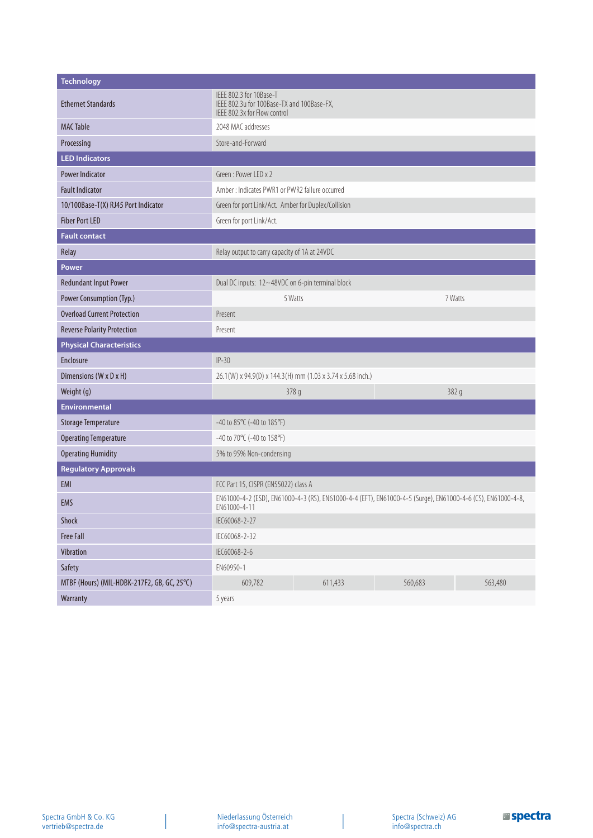| <b>Technology</b>                           |                                                                                                                             |         |         |         |  |  |  |  |
|---------------------------------------------|-----------------------------------------------------------------------------------------------------------------------------|---------|---------|---------|--|--|--|--|
| <b>Ethernet Standards</b>                   | IEEE 802.3 for 10Base-T<br>IEEE 802.3u for 100Base-TX and 100Base-FX,<br>IEEE 802.3x for Flow control                       |         |         |         |  |  |  |  |
| <b>MAC Table</b>                            | 2048 MAC addresses                                                                                                          |         |         |         |  |  |  |  |
| Processing                                  | Store-and-Forward                                                                                                           |         |         |         |  |  |  |  |
| <b>LED Indicators</b>                       |                                                                                                                             |         |         |         |  |  |  |  |
| <b>Power Indicator</b>                      | Green: Power LED x 2                                                                                                        |         |         |         |  |  |  |  |
| <b>Fault Indicator</b>                      | Amber: Indicates PWR1 or PWR2 failure occurred                                                                              |         |         |         |  |  |  |  |
| 10/100Base-T(X) RJ45 Port Indicator         | Green for port Link/Act. Amber for Duplex/Collision                                                                         |         |         |         |  |  |  |  |
| <b>Fiber Port LED</b>                       | Green for port Link/Act.                                                                                                    |         |         |         |  |  |  |  |
| <b>Fault contact</b>                        |                                                                                                                             |         |         |         |  |  |  |  |
| Relay                                       | Relay output to carry capacity of 1A at 24VDC                                                                               |         |         |         |  |  |  |  |
| Power                                       |                                                                                                                             |         |         |         |  |  |  |  |
| <b>Redundant Input Power</b>                | Dual DC inputs: 12~48VDC on 6-pin terminal block                                                                            |         |         |         |  |  |  |  |
| Power Consumption (Typ.)                    | 7 Watts<br>5 Watts                                                                                                          |         |         |         |  |  |  |  |
| <b>Overload Current Protection</b>          | Present                                                                                                                     |         |         |         |  |  |  |  |
| <b>Reverse Polarity Protection</b>          | Present                                                                                                                     |         |         |         |  |  |  |  |
| <b>Physical Characteristics</b>             |                                                                                                                             |         |         |         |  |  |  |  |
| Enclosure                                   | $IP-30$                                                                                                                     |         |         |         |  |  |  |  |
| Dimensions (W x D x H)                      | 26.1(W) x 94.9(D) x 144.3(H) mm (1.03 x 3.74 x 5.68 inch.)                                                                  |         |         |         |  |  |  |  |
| Weight (g)                                  | 382 g<br>378 g                                                                                                              |         |         |         |  |  |  |  |
| <b>Environmental</b>                        |                                                                                                                             |         |         |         |  |  |  |  |
| <b>Storage Temperature</b>                  | -40 to 85°C (-40 to 185°F)                                                                                                  |         |         |         |  |  |  |  |
| <b>Operating Temperature</b>                | -40 to 70 $\degree$ C (-40 to 158 $\degree$ F)                                                                              |         |         |         |  |  |  |  |
| <b>Operating Humidity</b>                   | 5% to 95% Non-condensing                                                                                                    |         |         |         |  |  |  |  |
| <b>Regulatory Approvals</b>                 |                                                                                                                             |         |         |         |  |  |  |  |
| EMI                                         | FCC Part 15, CISPR (EN55022) class A                                                                                        |         |         |         |  |  |  |  |
| <b>EMS</b>                                  | EN61000-4-2 (ESD), EN61000-4-3 (RS), EN61000-4-4 (EFT), EN61000-4-5 (Surge), EN61000-4-6 (CS), EN61000-4-8,<br>EN61000-4-11 |         |         |         |  |  |  |  |
| Shock                                       | IEC60068-2-27                                                                                                               |         |         |         |  |  |  |  |
| <b>Free Fall</b>                            | IEC60068-2-32                                                                                                               |         |         |         |  |  |  |  |
| Vibration                                   | IEC60068-2-6                                                                                                                |         |         |         |  |  |  |  |
| Safety                                      | EN60950-1                                                                                                                   |         |         |         |  |  |  |  |
| MTBF (Hours) (MIL-HDBK-217F2, GB, GC, 25°C) | 609,782                                                                                                                     | 611,433 | 560,683 | 563,480 |  |  |  |  |
| Warranty                                    | 5 years                                                                                                                     |         |         |         |  |  |  |  |

 $\overline{\phantom{a}}$